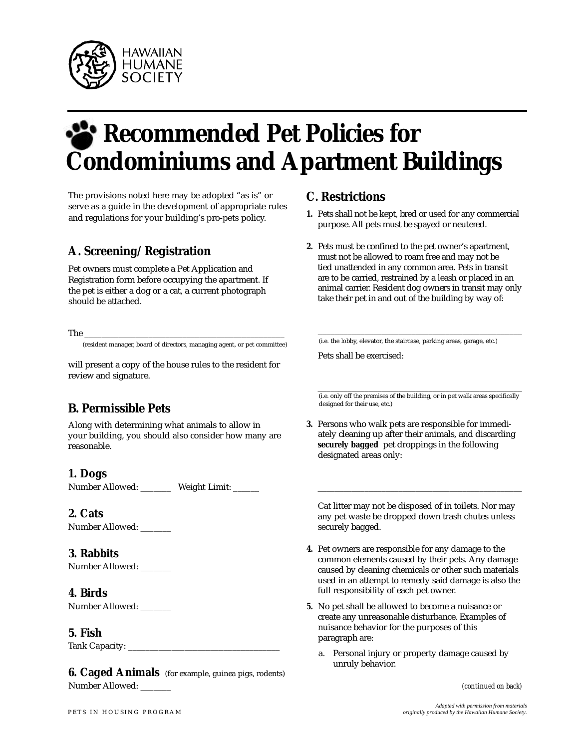

# **Recommended Pet Policies for Condominiums and Apartment Buildings**

The provisions noted here may be adopted "as is" or serve as a guide in the development of appropriate rules and regulations for your building's pro-pets policy.

# **A. Screening/Registration**

Pet owners must complete a Pet Application and Registration form before occupying the apartment. If the pet is either a dog or a cat, a current photograph should be attached.

The \_\_\_\_\_\_\_\_\_\_\_\_\_\_\_\_\_\_\_\_\_\_\_\_\_\_\_\_\_\_\_\_\_\_\_\_\_\_\_\_\_\_\_\_\_\_\_

( resident manager, board of directors, managing agent, or pet committee)

will present a copy of the house rules to the resident for review and signature.

# **B. Permissible Pets**

Along with determining what animals to allow in your building, you should also consider how many are re a son able.

# **1. Dogs**

Number Allowed: \_\_\_\_\_\_\_ Weight Limit: \_\_\_\_\_\_

#### **2. Cats**

Number Allowed: \_\_\_\_\_\_\_

# **3. Rabbits**

Number Allowed: \_\_\_\_\_\_\_

#### **4. Birds**

Number Allowed:

#### **5. Fish**

Tank Capacity: \_\_

**6. Caged Animals** (for example, guinea pigs, rodents) Number Allowed: \_

# **C. Restrictions**

- 1. Pets shall not be kept, bred or used for any commercial purpose. All pets must be spayed or neutered.
- **2.** Pets must be confined to the pet owner's apartment, must not be allowed to roam free and may not be tied unattended in any common area. Pets in transit are to be carried, restrained by a leash or placed in an animal carrier. Resident dog owners in transit may only take their pet in and out of the building by way of:

(i.e. the lobby, elevator, the staircase, parking areas, garage, etc.)

\_\_\_\_\_\_\_\_\_\_\_\_\_\_\_\_\_\_\_\_\_\_\_\_\_\_\_\_\_\_\_\_\_\_\_\_\_\_\_\_\_\_\_\_\_\_\_\_

Pets shall be exercised:

\_\_\_\_\_\_\_\_\_\_\_\_\_\_\_\_\_\_\_\_\_\_\_\_\_\_\_\_\_\_\_\_\_\_\_\_\_\_\_\_\_\_\_\_\_\_\_\_ (i.e. only off the premises of the building, or in pet walk areas specifically designed for their use, etc.)

**3.** Persons who walk pets are responsible for immediately cleaning up after their animals, and discarding **securely bagged** pet droppings in the following designated areas only:

Cat litter may not be disposed of in toilets. Nor may any pet waste be dropped down trash chutes unless securely bagged.

\_\_\_\_\_\_\_\_\_\_\_\_\_\_\_\_\_\_\_\_\_\_\_\_\_\_\_\_\_\_\_\_\_\_\_\_\_\_\_\_\_\_\_\_\_\_\_\_

- **4.** Pet owners are responsible for any damage to the common elements caused by their pets. Any damage caused by cleaning chemicals or other such materials used in an attempt to remedy said damage is also the full responsibility of each pet owner.
- **5.** No pet shall be allowed to become a nuisance or create any unreasonable disturbance. Examples of nuisance behavior for the purposes of this paragraph are:
	- a. Personal injury or property damage caused by unruly behavior.

*(continued on back)*